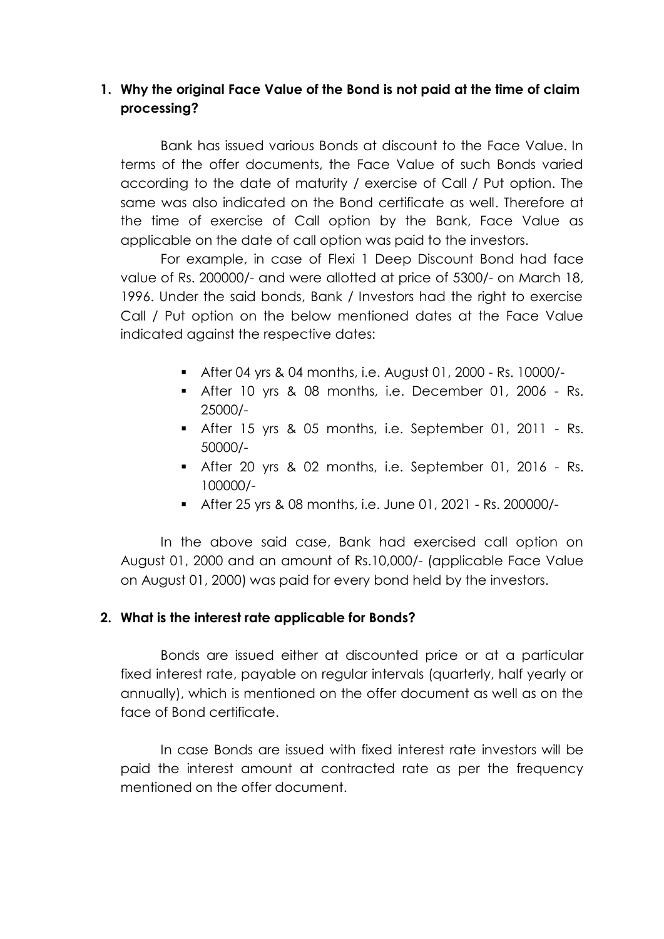# **1. Why the original Face Value of the Bond is not paid at the time of claim processing?**

Bank has issued various Bonds at discount to the Face Value. In terms of the offer documents, the Face Value of such Bonds varied according to the date of maturity / exercise of Call / Put option. The same was also indicated on the Bond certificate as well. Therefore at the time of exercise of Call option by the Bank, Face Value as applicable on the date of call option was paid to the investors.

For example, in case of Flexi 1 Deep Discount Bond had face value of Rs. 200000/- and were allotted at price of 5300/- on March 18, 1996. Under the said bonds, Bank / Investors had the right to exercise Call / Put option on the below mentioned dates at the Face Value indicated against the respective dates:

- After 04 yrs & 04 months, i.e. August 01, 2000 Rs. 10000/-
- After 10 yrs & 08 months, i.e. December 01, 2006 Rs. 25000/-
- After 15 yrs & 05 months, i.e. September 01, 2011 Rs. 50000/-
- After 20 yrs & 02 months, i.e. September 01, 2016 Rs. 100000/-
- After 25 yrs & 08 months, i.e. June 01, 2021 Rs. 200000/-

In the above said case, Bank had exercised call option on August 01, 2000 and an amount of Rs.10,000/- (applicable Face Value on August 01, 2000) was paid for every bond held by the investors.

#### **2. What is the interest rate applicable for Bonds?**

Bonds are issued either at discounted price or at a particular fixed interest rate, payable on regular intervals (quarterly, half yearly or annually), which is mentioned on the offer document as well as on the face of Bond certificate.

In case Bonds are issued with fixed interest rate investors will be paid the interest amount at contracted rate as per the frequency mentioned on the offer document.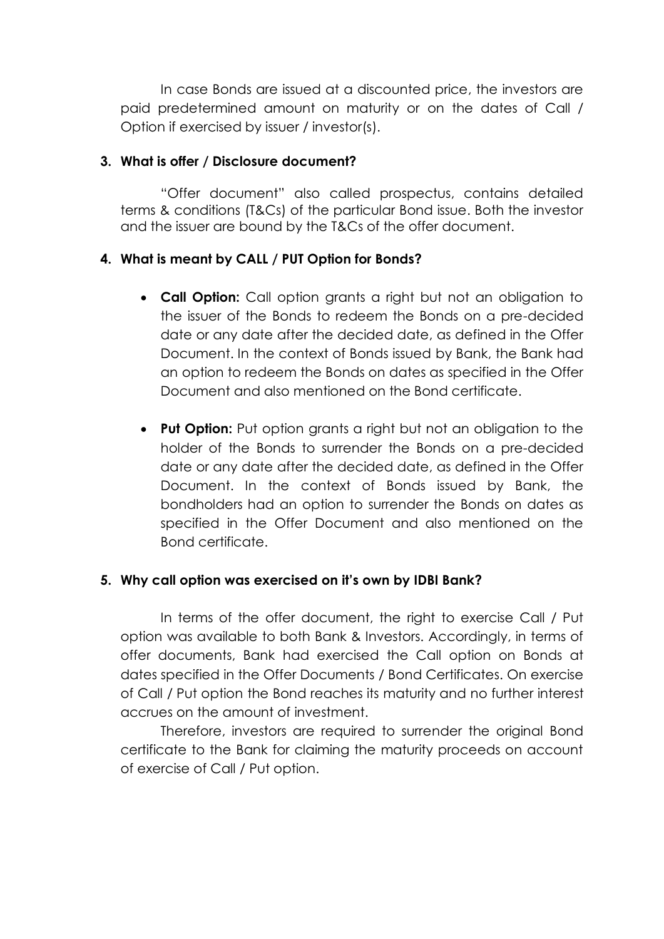In case Bonds are issued at a discounted price, the investors are paid predetermined amount on maturity or on the dates of Call / Option if exercised by issuer / investor(s).

### **3. What is offer / Disclosure document?**

"Offer document" also called prospectus, contains detailed terms & conditions (T&Cs) of the particular Bond issue. Both the investor and the issuer are bound by the T&Cs of the offer document.

## **4. What is meant by CALL / PUT Option for Bonds?**

- **Call Option:** Call option grants a right but not an obligation to the issuer of the Bonds to redeem the Bonds on a pre-decided date or any date after the decided date, as defined in the Offer Document. In the context of Bonds issued by Bank, the Bank had an option to redeem the Bonds on dates as specified in the Offer Document and also mentioned on the Bond certificate.
- **Put Option:** Put option grants a right but not an obligation to the holder of the Bonds to surrender the Bonds on a pre-decided date or any date after the decided date, as defined in the Offer Document. In the context of Bonds issued by Bank, the bondholders had an option to surrender the Bonds on dates as specified in the Offer Document and also mentioned on the Bond certificate.

#### **5. Why call option was exercised on it's own by IDBI Bank?**

In terms of the offer document, the right to exercise Call / Put option was available to both Bank & Investors. Accordingly, in terms of offer documents, Bank had exercised the Call option on Bonds at dates specified in the Offer Documents / Bond Certificates. On exercise of Call / Put option the Bond reaches its maturity and no further interest accrues on the amount of investment.

Therefore, investors are required to surrender the original Bond certificate to the Bank for claiming the maturity proceeds on account of exercise of Call / Put option.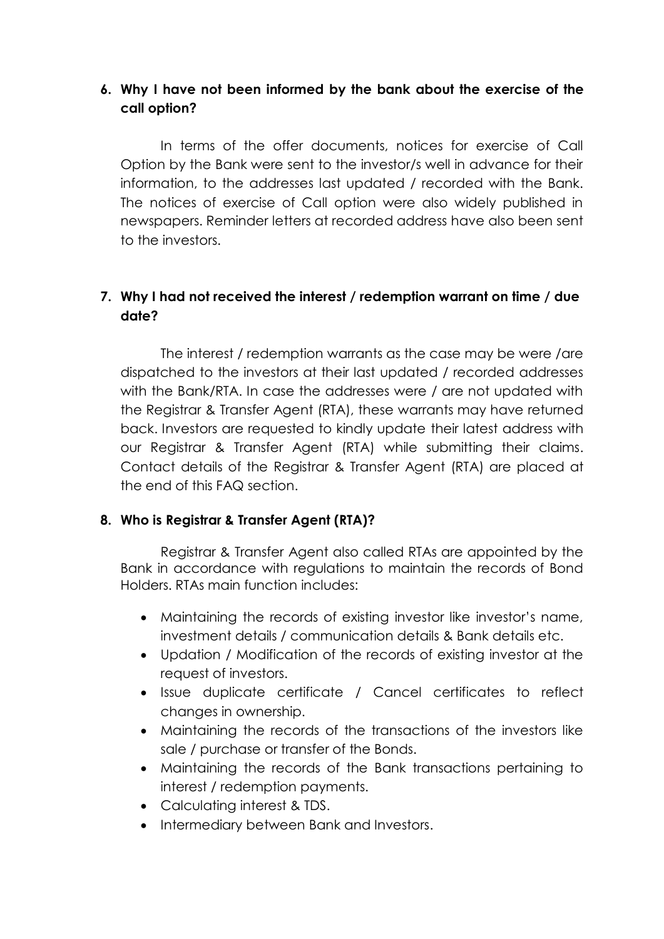# **6. Why I have not been informed by the bank about the exercise of the call option?**

In terms of the offer documents, notices for exercise of Call Option by the Bank were sent to the investor/s well in advance for their information, to the addresses last updated / recorded with the Bank. The notices of exercise of Call option were also widely published in newspapers. Reminder letters at recorded address have also been sent to the investors.

# **7. Why I had not received the interest / redemption warrant on time / due date?**

The interest / redemption warrants as the case may be were /are dispatched to the investors at their last updated / recorded addresses with the Bank/RTA. In case the addresses were / are not updated with the Registrar & Transfer Agent (RTA), these warrants may have returned back. Investors are requested to kindly update their latest address with our Registrar & Transfer Agent (RTA) while submitting their claims. Contact details of the Registrar & Transfer Agent (RTA) are placed at the end of this FAQ section.

#### **8. Who is Registrar & Transfer Agent (RTA)?**

Registrar & Transfer Agent also called RTAs are appointed by the Bank in accordance with regulations to maintain the records of Bond Holders. RTAs main function includes:

- Maintaining the records of existing investor like investor's name, investment details / communication details & Bank details etc.
- Updation / Modification of the records of existing investor at the request of investors.
- Issue duplicate certificate / Cancel certificates to reflect changes in ownership.
- Maintaining the records of the transactions of the investors like sale / purchase or transfer of the Bonds.
- Maintaining the records of the Bank transactions pertaining to interest / redemption payments.
- Calculating interest & TDS.
- Intermediary between Bank and Investors.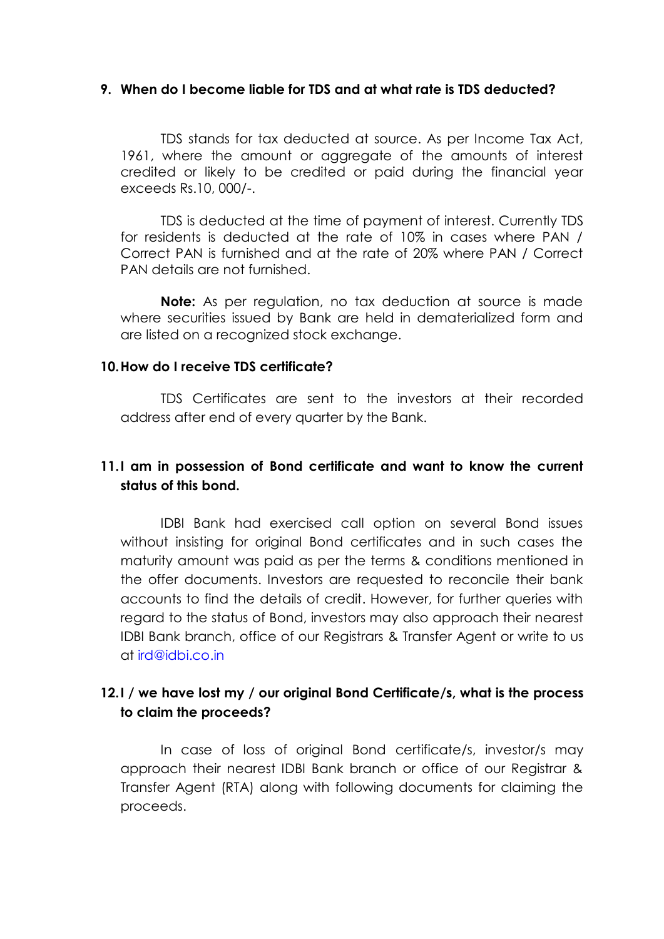#### **9. When do I become liable for TDS and at what rate is TDS deducted?**

TDS stands for tax deducted at source. As per Income Tax Act, 1961, where the amount or aggregate of the amounts of interest credited or likely to be credited or paid during the financial year exceeds Rs.10, 000/-.

TDS is deducted at the time of payment of interest. Currently TDS for residents is deducted at the rate of 10% in cases where PAN / Correct PAN is furnished and at the rate of 20% where PAN / Correct PAN details are not furnished.

**Note:** As per regulation, no tax deduction at source is made where securities issued by Bank are held in dematerialized form and are listed on a recognized stock exchange.

#### **10.How do I receive TDS certificate?**

TDS Certificates are sent to the investors at their recorded address after end of every quarter by the Bank.

## **11.I am in possession of Bond certificate and want to know the current status of this bond.**

IDBI Bank had exercised call option on several Bond issues without insisting for original Bond certificates and in such cases the maturity amount was paid as per the terms & conditions mentioned in the offer documents. Investors are requested to reconcile their bank accounts to find the details of credit. However, for further queries with regard to the status of Bond, investors may also approach their nearest IDBI Bank branch, office of our Registrars & Transfer Agent or write to us at [ird@idbi.co.in](mailto:ird@idbi.co.in)

## **12.I / we have lost my / our original Bond Certificate/s, what is the process to claim the proceeds?**

In case of loss of original Bond certificate/s, investor/s may approach their nearest IDBI Bank branch or office of our Registrar & Transfer Agent (RTA) along with following documents for claiming the proceeds.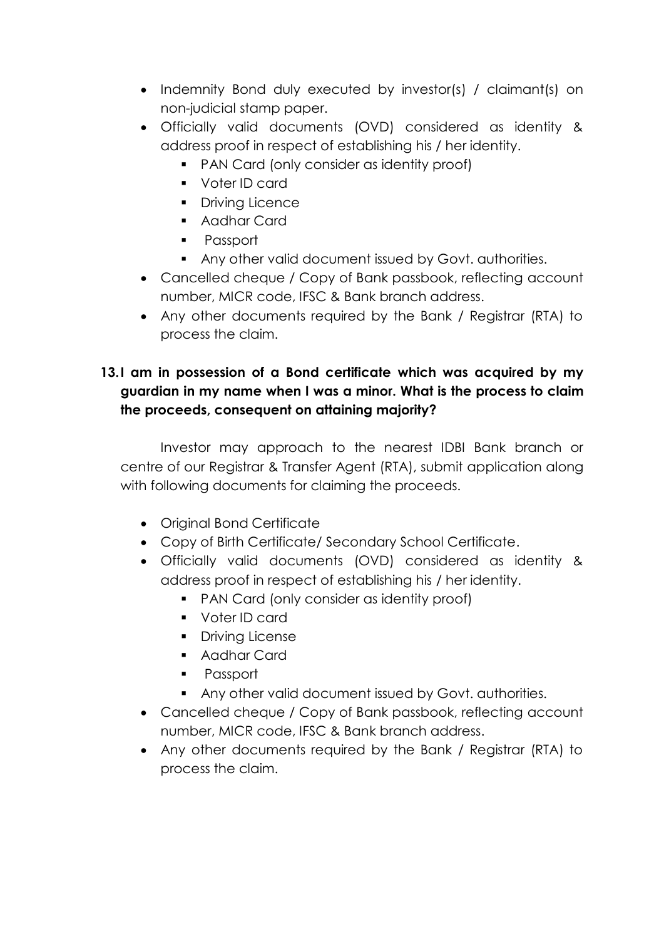- Indemnity Bond duly executed by investor(s) / claimant(s) on non-judicial stamp paper.
- Officially valid documents (OVD) considered as identity & address proof in respect of establishing his / her identity.
	- PAN Card (only consider as identity proof)
	- **voter ID card**
	- **•** Driving Licence
	- Aadhar Card
	- **Passport**
	- Any other valid document issued by Govt. authorities.
- Cancelled cheque / Copy of Bank passbook, reflecting account number, MICR code, IFSC & Bank branch address.
- Any other documents required by the Bank / Registrar (RTA) to process the claim.

# **13.I am in possession of a Bond certificate which was acquired by my guardian in my name when I was a minor. What is the process to claim the proceeds, consequent on attaining majority?**

Investor may approach to the nearest IDBI Bank branch or centre of our Registrar & Transfer Agent (RTA), submit application along with following documents for claiming the proceeds.

- Original Bond Certificate
- Copy of Birth Certificate/ Secondary School Certificate.
- Officially valid documents (OVD) considered as identity & address proof in respect of establishing his / her identity.
	- PAN Card (only consider as identity proof)
	- Voter ID card
	- **•** Driving License
	- **Aadhar Card**
	- **Passport**
	- Any other valid document issued by Govt. authorities.
- Cancelled cheque / Copy of Bank passbook, reflecting account number, MICR code, IFSC & Bank branch address.
- Any other documents required by the Bank / Registrar (RTA) to process the claim.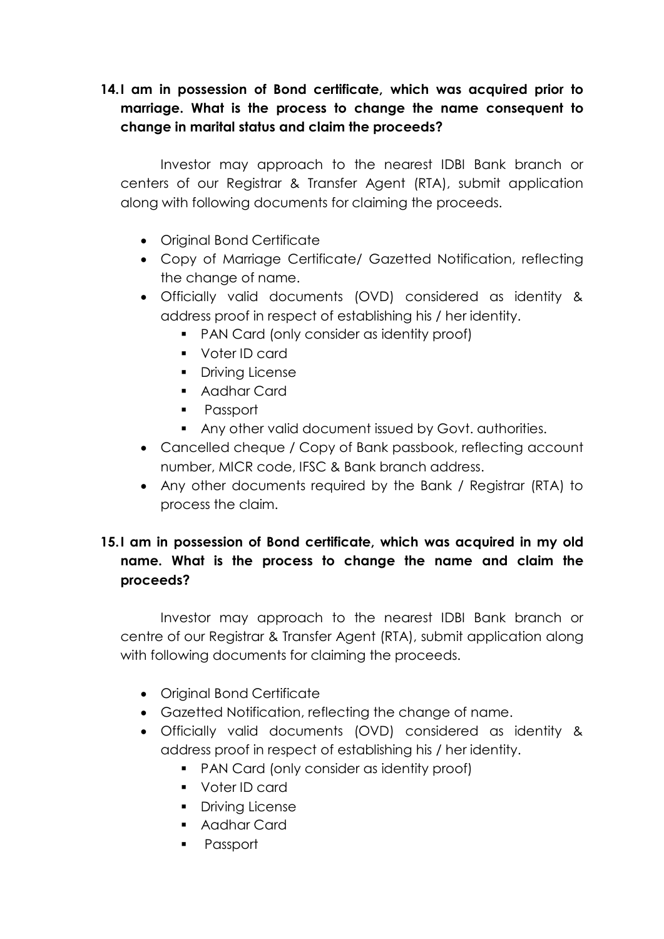# **14.I am in possession of Bond certificate, which was acquired prior to marriage. What is the process to change the name consequent to change in marital status and claim the proceeds?**

Investor may approach to the nearest IDBI Bank branch or centers of our Registrar & Transfer Agent (RTA), submit application along with following documents for claiming the proceeds.

- Original Bond Certificate
- Copy of Marriage Certificate/ Gazetted Notification, reflecting the change of name.
- Officially valid documents (OVD) considered as identity & address proof in respect of establishing his / her identity.
	- PAN Card (only consider as identity proof)
	- Voter ID card
	- **•** Driving License
	- Aadhar Card
	- **Passport**
	- Any other valid document issued by Govt. authorities.
- Cancelled cheque / Copy of Bank passbook, reflecting account number, MICR code, IFSC & Bank branch address.
- Any other documents required by the Bank / Registrar (RTA) to process the claim.

# **15.I am in possession of Bond certificate, which was acquired in my old name. What is the process to change the name and claim the proceeds?**

Investor may approach to the nearest IDBI Bank branch or centre of our Registrar & Transfer Agent (RTA), submit application along with following documents for claiming the proceeds.

- Original Bond Certificate
- Gazetted Notification, reflecting the change of name.
- Officially valid documents (OVD) considered as identity & address proof in respect of establishing his / her identity.
	- **PAN Card (only consider as identity proof)**
	- Voter ID card
	- **•** Driving License
	- Aadhar Card
	- **Passport**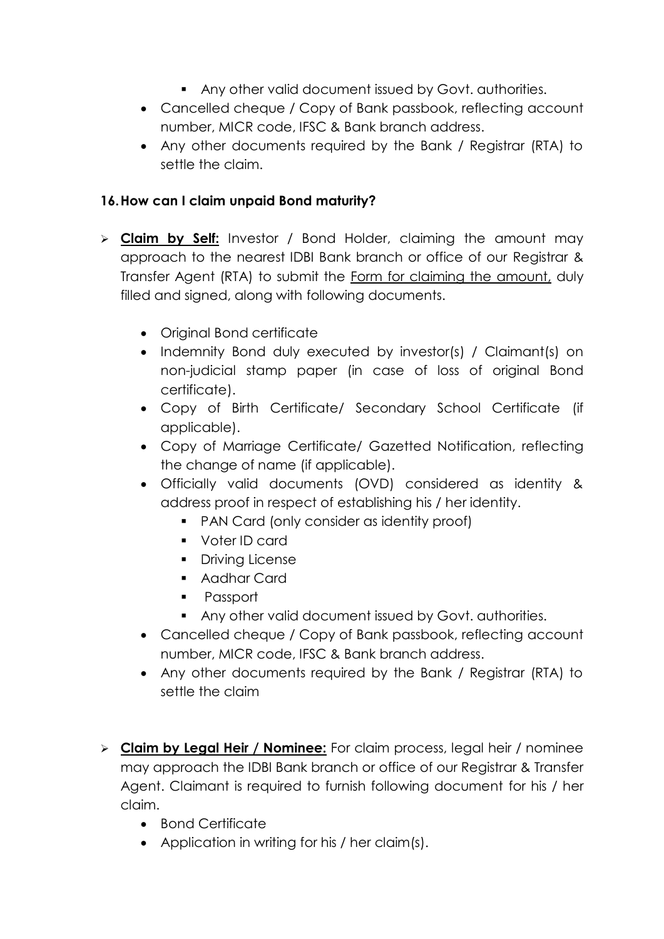- Any other valid document issued by Govt. authorities.
- Cancelled cheque / Copy of Bank passbook, reflecting account number, MICR code, IFSC & Bank branch address.
- Any other documents required by the Bank / Registrar (RTA) to settle the claim.

## **16.How can I claim unpaid Bond maturity?**

- **Claim by Self:** Investor / Bond Holder, claiming the amount may approach to the nearest IDBI Bank branch or office of our Registrar & Transfer Agent (RTA) to submit the Form for claiming the amount, duly filled and signed, along with following documents.
	- Original Bond certificate
	- Indemnity Bond duly executed by investor(s) / Claimant(s) on non-judicial stamp paper (in case of loss of original Bond certificate).
	- Copy of Birth Certificate/ Secondary School Certificate (if applicable).
	- Copy of Marriage Certificate/ Gazetted Notification, reflecting the change of name (if applicable).
	- Officially valid documents (OVD) considered as identity & address proof in respect of establishing his / her identity.
		- PAN Card (only consider as identity proof)
		- Voter ID card
		- Driving License
		- Aadhar Card
		- **Passport**
		- Any other valid document issued by Govt. authorities.
	- Cancelled cheque / Copy of Bank passbook, reflecting account number, MICR code, IFSC & Bank branch address.
	- Any other documents required by the Bank / Registrar (RTA) to settle the claim
- **Claim by Legal Heir / Nominee:** For claim process, legal heir / nominee may approach the IDBI Bank branch or office of our Registrar & Transfer Agent. Claimant is required to furnish following document for his / her claim.
	- Bond Certificate
	- Application in writing for his / her claim(s).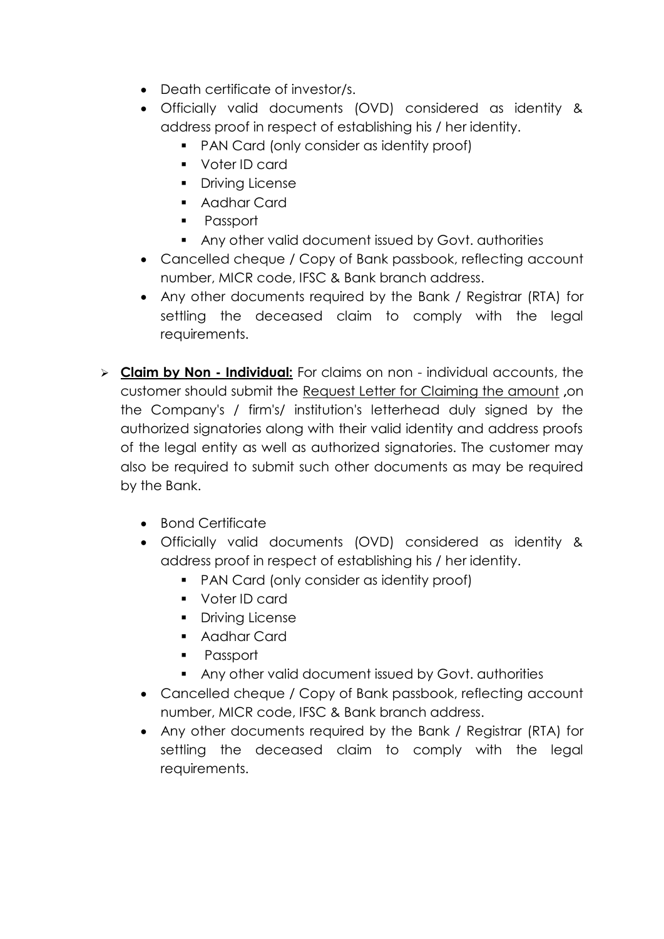- Death certificate of investor/s.
- Officially valid documents (OVD) considered as identity & address proof in respect of establishing his / her identity.
	- **PAN Card (only consider as identity proof)**
	- Voter ID card
	- Driving License
	- **Aadhar Card**
	- **Passport**
	- Any other valid document issued by Govt. authorities
- Cancelled cheque / Copy of Bank passbook, reflecting account number, MICR code, IFSC & Bank branch address.
- Any other documents required by the Bank / Registrar (RTA) for settling the deceased claim to comply with the legal requirements.
- **Claim by Non - Individual:** For claims on non individual accounts, the customer should submit the Request Letter for Claiming the amount **,**on the Company's / firm's/ institution's letterhead duly signed by the authorized signatories along with their valid identity and address proofs of the legal entity as well as authorized signatories. The customer may also be required to submit such other documents as may be required by the Bank.
	- Bond Certificate
	- Officially valid documents (OVD) considered as identity & address proof in respect of establishing his / her identity.
		- **PAN Card (only consider as identity proof)**
		- Voter ID card
		- **Driving License**
		- Aadhar Card
		- **Passport**
		- Any other valid document issued by Govt. authorities
	- Cancelled cheque / Copy of Bank passbook, reflecting account number, MICR code, IFSC & Bank branch address.
	- Any other documents required by the Bank / Registrar (RTA) for settling the deceased claim to comply with the legal requirements.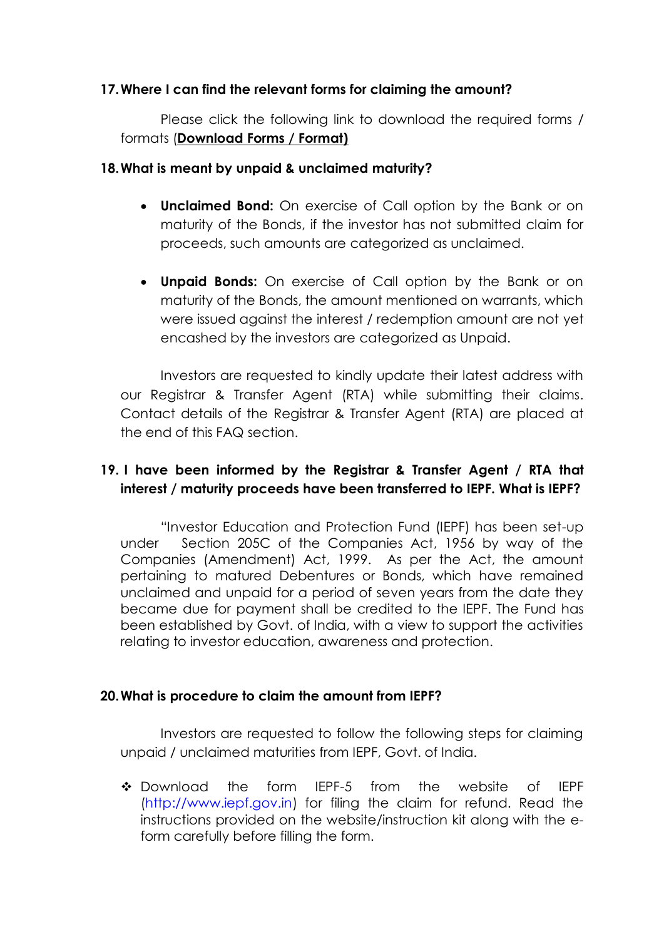### **17.Where I can find the relevant forms for claiming the amount?**

Please click the following link to download the required forms / formats (**Download Forms / Format)**

### **18.What is meant by unpaid & unclaimed maturity?**

- **Unclaimed Bond:** On exercise of Call option by the Bank or on maturity of the Bonds, if the investor has not submitted claim for proceeds, such amounts are categorized as unclaimed.
- **Unpaid Bonds:** On exercise of Call option by the Bank or on maturity of the Bonds, the amount mentioned on warrants, which were issued against the interest / redemption amount are not yet encashed by the investors are categorized as Unpaid.

Investors are requested to kindly update their latest address with our Registrar & Transfer Agent (RTA) while submitting their claims. Contact details of the Registrar & Transfer Agent (RTA) are placed at the end of this FAQ section.

# **19. I have been informed by the Registrar & Transfer Agent / RTA that interest / maturity proceeds have been transferred to IEPF. What is IEPF?**

"Investor Education and Protection Fund (IEPF) has been set-up under Section 205C of the Companies Act, 1956 by way of the Companies (Amendment) Act, 1999. As per the Act, the amount pertaining to matured Debentures or Bonds, which have remained unclaimed and unpaid for a period of seven years from the date they became due for payment shall be credited to the IEPF. The Fund has been established by Govt. of India, with a view to support the activities relating to investor education, awareness and protection.

## **20.What is procedure to claim the amount from IEPF?**

Investors are requested to follow the following steps for claiming unpaid / unclaimed maturities from IEPF, Govt. of India.

 Download the form IEPF-5 from the website of IEPF [\(http://www.iepf.gov.in\)](http://www.iepf.gov.in/) for filing the claim for refund. Read the instructions provided on the website/instruction kit along with the eform carefully before filling the form.